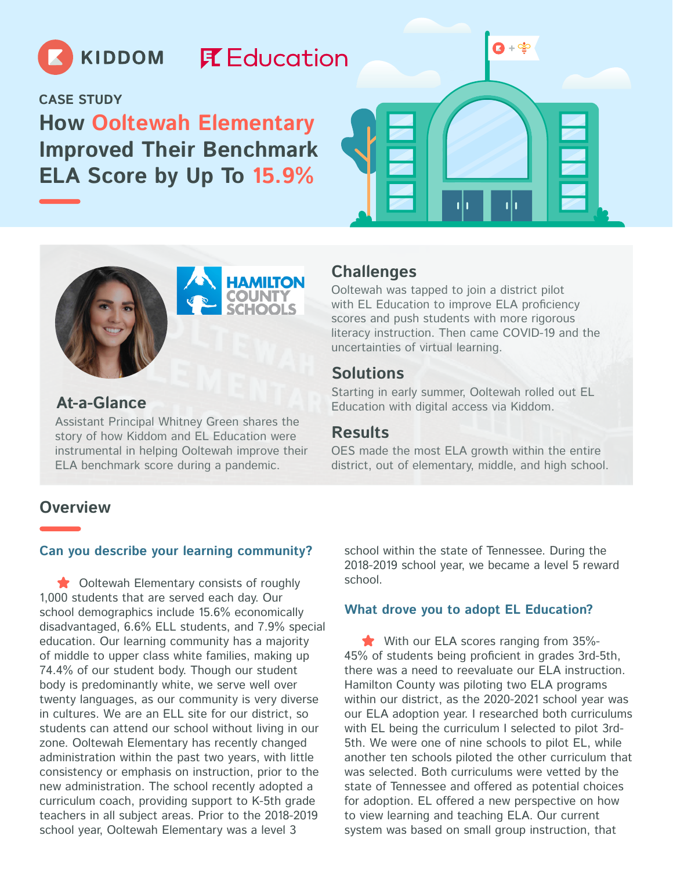

## **尾 Education**

**CASE STUDY**

**How Ooltewah Elementary Improved Their Benchmark ELA Score by Up To 15.9%**







#### **At-a-Glance**

Assistant Principal Whitney Green shares the **Results**<br>story of how Kiddom and EL Education were **Results** instrumental in helping Ooltewah improve their ELA benchmark score during a pandemic.

#### **Challenges**

Ooltewah was tapped to join a district pilot with EL Education to improve ELA proficiency scores and push students with more rigorous literacy instruction. Then came COVID-19 and the uncertainties of virtual learning.

#### **Solutions**

Starting in early summer, Ooltewah rolled out EL Education with digital access via Kiddom.

OES made the most ELA growth within the entire district, out of elementary, middle, and high school.

#### **Overview**

#### **Can you describe your learning community?**

Ooltewah Elementary consists of roughly 1,000 students that are served each day. Our school demographics include 15.6% economically disadvantaged, 6.6% ELL students, and 7.9% special education. Our learning community has a majority of middle to upper class white families, making up 74.4% of our student body. Though our student body is predominantly white, we serve well over twenty languages, as our community is very diverse in cultures. We are an ELL site for our district, so students can attend our school without living in our zone. Ooltewah Elementary has recently changed administration within the past two years, with little consistency or emphasis on instruction, prior to the new administration. The school recently adopted a curriculum coach, providing support to K-5th grade teachers in all subject areas. Prior to the 2018-2019 school year, Ooltewah Elementary was a level 3

school within the state of Tennessee. During the 2018-2019 school year, we became a level 5 reward school.

#### **What drove you to adopt EL Education?**

With our ELA scores ranging from 35%-45% of students being proficient in grades 3rd-5th, there was a need to reevaluate our ELA instruction. Hamilton County was piloting two ELA programs within our district, as the 2020-2021 school year was our ELA adoption year. I researched both curriculums with EL being the curriculum I selected to pilot 3rd-5th. We were one of nine schools to pilot EL, while another ten schools piloted the other curriculum that was selected. Both curriculums were vetted by the state of Tennessee and offered as potential choices for adoption. EL offered a new perspective on how to view learning and teaching ELA. Our current system was based on small group instruction, that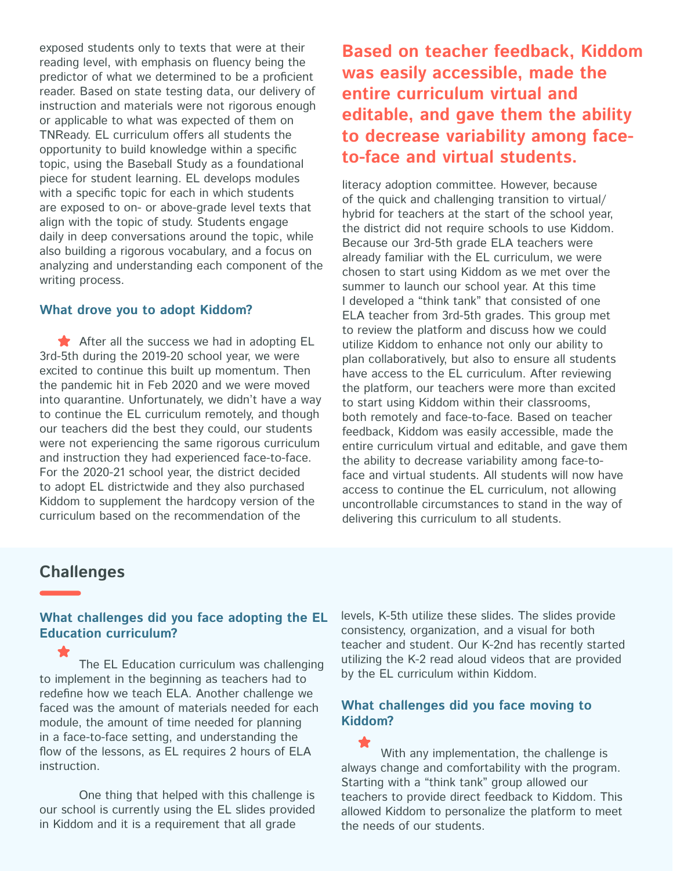exposed students only to texts that were at their reading level, with emphasis on fluency being the predictor of what we determined to be a proficient reader. Based on state testing data, our delivery of instruction and materials were not rigorous enough or applicable to what was expected of them on TNReady. EL curriculum offers all students the opportunity to build knowledge within a specific topic, using the Baseball Study as a foundational piece for student learning. EL develops modules with a specific topic for each in which students are exposed to on- or above-grade level texts that align with the topic of study. Students engage daily in deep conversations around the topic, while also building a rigorous vocabulary, and a focus on analyzing and understanding each component of the writing process.

#### **What drove you to adopt Kiddom?**

After all the success we had in adopting EL 3rd-5th during the 2019-20 school year, we were excited to continue this built up momentum. Then the pandemic hit in Feb 2020 and we were moved into quarantine. Unfortunately, we didn't have a way to continue the EL curriculum remotely, and though our teachers did the best they could, our students were not experiencing the same rigorous curriculum and instruction they had experienced face-to-face. For the 2020-21 school year, the district decided to adopt EL districtwide and they also purchased Kiddom to supplement the hardcopy version of the curriculum based on the recommendation of the

**Based on teacher feedback, Kiddom was easily accessible, made the entire curriculum virtual and editable, and gave them the ability to decrease variability among faceto-face and virtual students.**

literacy adoption committee. However, because of the quick and challenging transition to virtual/ hybrid for teachers at the start of the school year, the district did not require schools to use Kiddom. Because our 3rd-5th grade ELA teachers were already familiar with the EL curriculum, we were chosen to start using Kiddom as we met over the summer to launch our school year. At this time I developed a "think tank" that consisted of one ELA teacher from 3rd-5th grades. This group met to review the platform and discuss how we could utilize Kiddom to enhance not only our ability to plan collaboratively, but also to ensure all students have access to the EL curriculum. After reviewing the platform, our teachers were more than excited to start using Kiddom within their classrooms, both remotely and face-to-face. Based on teacher feedback, Kiddom was easily accessible, made the entire curriculum virtual and editable, and gave them the ability to decrease variability among face-toface and virtual students. All students will now have access to continue the EL curriculum, not allowing uncontrollable circumstances to stand in the way of delivering this curriculum to all students.

#### **Challenges**

#### **What challenges did you face adopting the EL Education curriculum?**

The EL Education curriculum was challenging to implement in the beginning as teachers had to redefine how we teach ELA. Another challenge we faced was the amount of materials needed for each module, the amount of time needed for planning in a face-to-face setting, and understanding the flow of the lessons, as EL requires 2 hours of ELA instruction.

One thing that helped with this challenge is our school is currently using the EL slides provided in Kiddom and it is a requirement that all grade

levels, K-5th utilize these slides. The slides provide consistency, organization, and a visual for both teacher and student. Our K-2nd has recently started utilizing the K-2 read aloud videos that are provided by the EL curriculum within Kiddom.

#### **What challenges did you face moving to Kiddom?**

With any implementation, the challenge is always change and comfortability with the program. Starting with a "think tank" group allowed our teachers to provide direct feedback to Kiddom. This allowed Kiddom to personalize the platform to meet the needs of our students.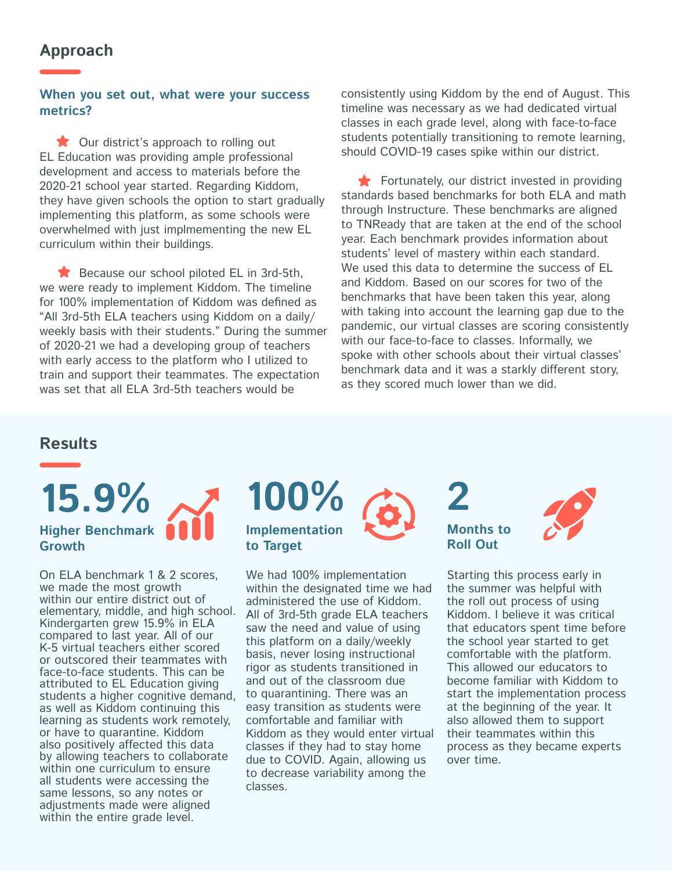#### **Approach**

**When you set out, what were your success metrics?**

★ Our district's approach to rolling out EL Education was providing ample professional development and access to materials before the 2020-21 school year started. Regarding Kiddom, they have given schools the option to start gradually implementing this platform, as some schools were overwhelmed with just implmementing the new EL curriculum within their buildings.

Because our school piloted EL in 3rd-5th, we were ready to implement Kiddom. The timeline for 100% implementation of Kiddom was defined as "All 3rd-5th ELA teachers using Kiddom on a daily/ weekly basis with their students." During the summer of 2020-21 we had a developing group of teachers with early access to the platform who I utilized to train and support their teammates. The expectation was set that all ELA 3rd-5th teachers would be

consistently using Kiddom by the end of August. This timeline was necessary as we had dedicated virtual classes in each grade level, along with face-to-face students potentially transitioning to remote learning, should COVID-19 cases spike within our district.

Fortunately, our district invested in providing standards based benchmarks for both ELA and math through Instructure. These benchmarks are aligned to TNReady that are taken at the end of the school year. Each benchmark provides information about students' level of mastery within each standard. We used this data to determine the success of EL and Kiddom. Based on our scores for two of the benchmarks that have been taken this year, along with taking into account the learning gap due to the pandemic, our virtual classes are scoring consistently with our face-to-face to classes. Informally, we spoke with other schools about their virtual classes' benchmark data and it was a starkly different story, as they scored much lower than we did.

#### **Results**

# **15.9% 100% 2 Higher Benchmark Growth**

On ELA benchmark 1 & 2 scores, we made the most growth within our entire district out of elementary, middle, and high school. Kindergarten grew 15.9% in ELA compared to last year. All of our K-5 virtual teachers either scored or outscored their teammates with face-to-face students. This can be attributed to EL Education giving students a higher cognitive demand, as well as Kiddom continuing this learning as students work remotely, or have to quarantine. Kiddom also positively affected this data by allowing teachers to collaborate within one curriculum to ensure all students were accessing the same lessons, so any notes or adjustments made were aligned within the entire grade level.

# **Implementation to Target**

We had 100% implementation within the designated time we had administered the use of Kiddom. All of 3rd-5th grade ELA teachers saw the need and value of using this platform on a daily/weekly basis, never losing instructional rigor as students transitioned in and out of the classroom due to quarantining. There was an easy transition as students were comfortable and familiar with Kiddom as they would enter virtual classes if they had to stay home due to COVID. Again, allowing us to decrease variability among the classes.

**Months to Roll Out**



Starting this process early in the summer was helpful with the roll out process of using Kiddom. I believe it was critical that educators spent time before the school year started to get comfortable with the platform. This allowed our educators to become familiar with Kiddom to start the implementation process at the beginning of the year. It also allowed them to support their teammates within this process as they became experts over time.